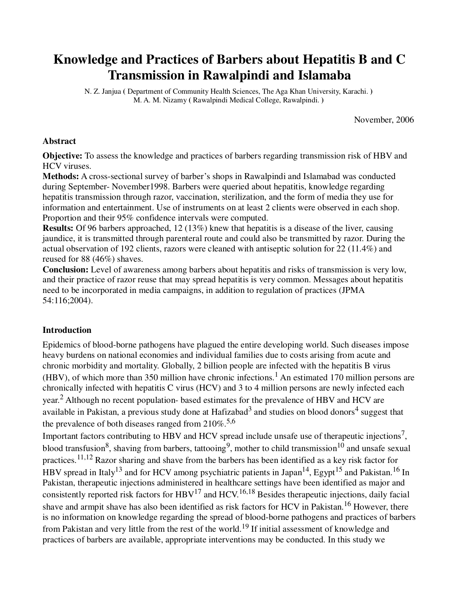# **Knowledge and Practices of Barbers about Hepatitis B and C Transmission in Rawalpindi and Islamaba**

N. Z. Janjua **(** Department of Community Health Sciences, The Aga Khan University, Karachi. **)**  M. A. M. Nizamy **(** Rawalpindi Medical College, Rawalpindi. **)** 

November, 2006

#### **Abstract**

**Objective:** To assess the knowledge and practices of barbers regarding transmission risk of HBV and HCV viruses.

**Methods:** A cross-sectional survey of barber's shops in Rawalpindi and Islamabad was conducted during September- November1998. Barbers were queried about hepatitis, knowledge regarding hepatitis transmission through razor, vaccination, sterilization, and the form of media they use for information and entertainment. Use of instruments on at least 2 clients were observed in each shop. Proportion and their 95% confidence intervals were computed.

**Results:** Of 96 barbers approached, 12 (13%) knew that hepatitis is a disease of the liver, causing jaundice, it is transmitted through parenteral route and could also be transmitted by razor. During the actual observation of 192 clients, razors were cleaned with antiseptic solution for 22 (11.4%) and reused for 88 (46%) shaves.

**Conclusion:** Level of awareness among barbers about hepatitis and risks of transmission is very low, and their practice of razor reuse that may spread hepatitis is very common. Messages about hepatitis need to be incorporated in media campaigns, in addition to regulation of practices (JPMA 54:116;2004).

#### **Introduction**

Epidemics of blood-borne pathogens have plagued the entire developing world. Such diseases impose heavy burdens on national economies and individual families due to costs arising from acute and chronic morbidity and mortality. Globally, 2 billion people are infected with the hepatitis B virus (HBV), of which more than 350 million have chronic infections.<sup>1</sup> An estimated 170 million persons are chronically infected with hepatitis C virus (HCV) and 3 to 4 million persons are newly infected each year.<sup>2</sup> Although no recent population- based estimates for the prevalence of HBV and HCV are available in Pakistan, a previous study done at Hafizabad<sup>3</sup> and studies on blood donors<sup>4</sup> suggest that the prevalence of both diseases ranged from  $210\%$ <sup>5,6</sup>

Important factors contributing to HBV and HCV spread include unsafe use of therapeutic injections<sup>7</sup>, blood transfusion<sup>8</sup>, shaving from barbers, tattooing<sup>9</sup>, mother to child transmission<sup>10</sup> and unsafe sexual practices.11,12 Razor sharing and shave from the barbers has been identified as a key risk factor for HBV spread in Italy<sup>13</sup> and for HCV among psychiatric patients in Japan<sup>14</sup>, Egypt<sup>15</sup> and Pakistan.<sup>16</sup> In Pakistan, therapeutic injections administered in healthcare settings have been identified as major and consistently reported risk factors for  $HBV^{17}$  and  $HCV^{16,18}$  Besides therapeutic injections, daily facial shave and armpit shave has also been identified as risk factors for HCV in Pakistan.<sup>16</sup> However, there is no information on knowledge regarding the spread of blood-borne pathogens and practices of barbers from Pakistan and very little from the rest of the world.<sup>19</sup> If initial assessment of knowledge and practices of barbers are available, appropriate interventions may be conducted. In this study we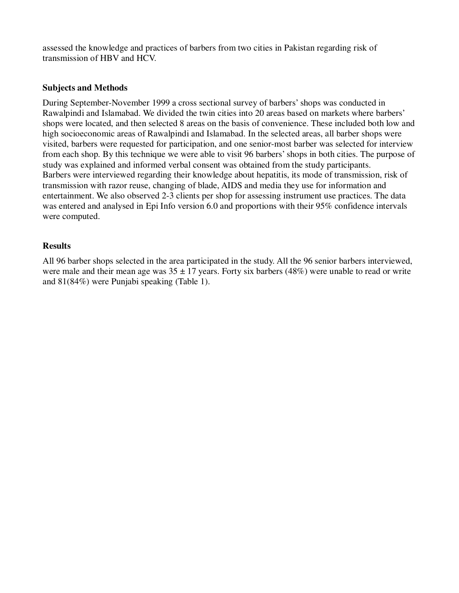assessed the knowledge and practices of barbers from two cities in Pakistan regarding risk of transmission of HBV and HCV.

## **Subjects and Methods**

During September-November 1999 a cross sectional survey of barbers' shops was conducted in Rawalpindi and Islamabad. We divided the twin cities into 20 areas based on markets where barbers' shops were located, and then selected 8 areas on the basis of convenience. These included both low and high socioeconomic areas of Rawalpindi and Islamabad. In the selected areas, all barber shops were visited, barbers were requested for participation, and one senior-most barber was selected for interview from each shop. By this technique we were able to visit 96 barbers' shops in both cities. The purpose of study was explained and informed verbal consent was obtained from the study participants. Barbers were interviewed regarding their knowledge about hepatitis, its mode of transmission, risk of transmission with razor reuse, changing of blade, AIDS and media they use for information and entertainment. We also observed 2-3 clients per shop for assessing instrument use practices. The data was entered and analysed in Epi Info version 6.0 and proportions with their 95% confidence intervals were computed.

### **Results**

All 96 barber shops selected in the area participated in the study. All the 96 senior barbers interviewed, were male and their mean age was  $35 \pm 17$  years. Forty six barbers (48%) were unable to read or write and 81(84%) were Punjabi speaking (Table 1).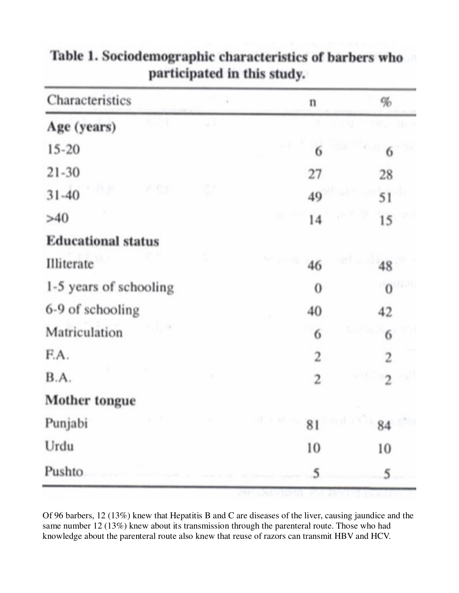| Characteristics           | n                           | $\%$           |  |
|---------------------------|-----------------------------|----------------|--|
| Age (years)               |                             |                |  |
| $15 - 20$                 | 6                           | 6              |  |
| $21 - 30$                 | 27                          | 28             |  |
| P 53<br>$31 - 40$         | 49                          | 51             |  |
| >40                       | 14                          | 15             |  |
| <b>Educational status</b> |                             |                |  |
| Illiterate                | on its<br>46                | 48             |  |
| 1-5 years of schooling    | 0                           | $\theta$       |  |
| 6-9 of schooling          | 40                          | 42             |  |
| Matriculation             | 6                           | 6              |  |
| F.A.                      | 2                           | 2              |  |
| B.A.                      | 2                           | $\overline{c}$ |  |
| Mother tongue             |                             |                |  |
| Punjabi                   | $\sim$ $\sim$ 81 hm and all | 84             |  |
| Urdu                      | 10                          | 10             |  |
| Pushto                    | 5                           | 5              |  |

# Table 1. Sociodemographic characteristics of barbers who participated in this study.

Of 96 barbers, 12 (13%) knew that Hepatitis B and C are diseases of the liver, causing jaundice and the same number 12 (13%) knew about its transmission through the parenteral route. Those who had knowledge about the parenteral route also knew that reuse of razors can transmit HBV and HCV.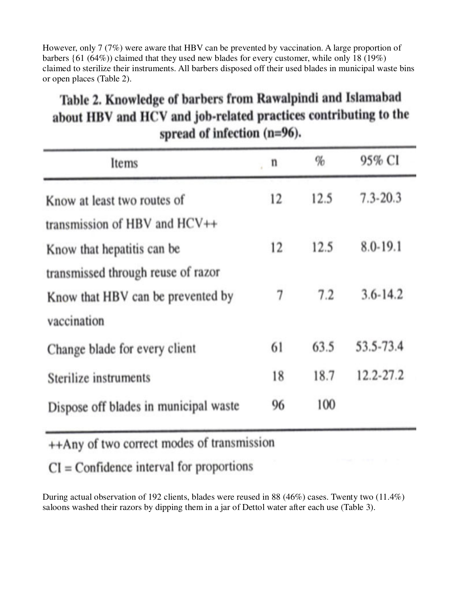However, only 7 (7%) were aware that HBV can be prevented by vaccination. A large proportion of barbers {61 (64%)) claimed that they used new blades for every customer, while only 18 (19%) claimed to sterilize their instruments. All barbers disposed off their used blades in municipal waste bins or open places (Table 2).

| Table 2. Knowledge of barbers from Rawalpindi and Islamabad<br>about HBV and HCV and job-related practices contributing to the | spread of infection $(n=96)$ . |   |        |
|--------------------------------------------------------------------------------------------------------------------------------|--------------------------------|---|--------|
| Items                                                                                                                          | n                              | % | 95% CI |

| Items                                                                                  | n  | $\%$ | 95% CI       |  |
|----------------------------------------------------------------------------------------|----|------|--------------|--|
| Know at least two routes of                                                            | 12 | 12.5 | $7.3 - 20.3$ |  |
| transmission of HBV and $HCV++$<br>Know that hepatitis can be                          | 12 | 12.5 | 8.0-19.1     |  |
| transmissed through reuse of razor<br>Know that HBV can be prevented by<br>vaccination | 7  | 7.2  | $3.6 - 14.2$ |  |
| Change blade for every client                                                          | 61 | 63.5 | 53.5-73.4    |  |
| Sterilize instruments                                                                  | 18 | 18.7 | 12.2-27.2    |  |
| Dispose off blades in municipal waste                                                  | 96 | 100  |              |  |

++Any of two correct modes of transmission

 $CI = Confidence$  interval for proportions

During actual observation of 192 clients, blades were reused in 88 (46%) cases. Twenty two (11.4%) saloons washed their razors by dipping them in a jar of Dettol water after each use (Table 3).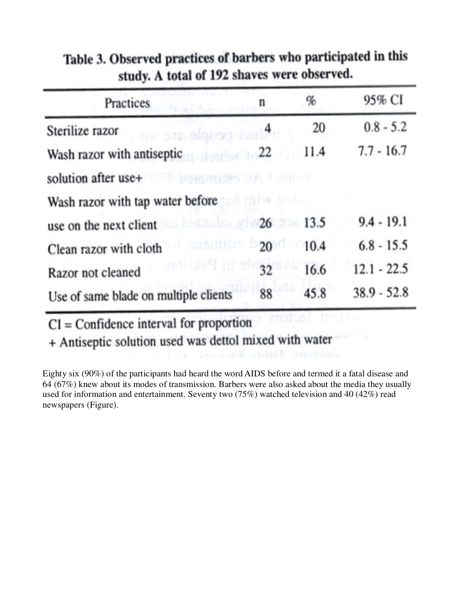| Practices                                                                                                                                                                                                                      | n  | %    | 95% CI        |
|--------------------------------------------------------------------------------------------------------------------------------------------------------------------------------------------------------------------------------|----|------|---------------|
| ani bia algosa nailad<br>Sterilize razor                                                                                                                                                                                       |    | 20   | $0.8 - 5.2$   |
| Wash razor with antiseptic 22                                                                                                                                                                                                  |    | 11.4 | $7.7 - 16.7$  |
| solution after use+ <b>FOR bonder and a stream</b>                                                                                                                                                                             |    |      |               |
| Wash razor with tap water before the state of the state of the state of the state of the state of the state of the state of the state of the state of the state of the state of the state of the state of the state of the sta |    |      |               |
| use on the next client and the 1990 and 1990 and 1990 and 1990 and 1990 and 1990 and 1990 and 1990 and 1990 and 1990 and 1990 and 1990 and 1990 and 1990 and 1990 and 1990 and 1990 and 1990 and 1990 and 1990 and 1990 and 19 |    | 13.5 | $9.4 - 19.1$  |
| Clean razor with cloth                                                                                                                                                                                                         | 20 | 10.4 | $6.8 - 15.5$  |
| mas blast no sto 32<br>Razor not cleaned                                                                                                                                                                                       |    | 16.6 | $12.1 - 22.5$ |
| Use of same blade on multiple clients                                                                                                                                                                                          | 88 | 45.8 | $38.9 - 52.8$ |

Table 3. Observed practices of barbers who participated in this study. A total of 192 shaves were observed.

 $CI = Confidence$  interval for proportion

+ Antiseptic solution used was dettol mixed with water

Eighty six (90%) of the participants had heard the word AIDS before and termed it a fatal disease and 64 (67%) knew about its modes of transmission. Barbers were also asked about the media they usually used for information and entertainment. Seventy two (75%) watched television and 40 (42%) read newspapers (Figure).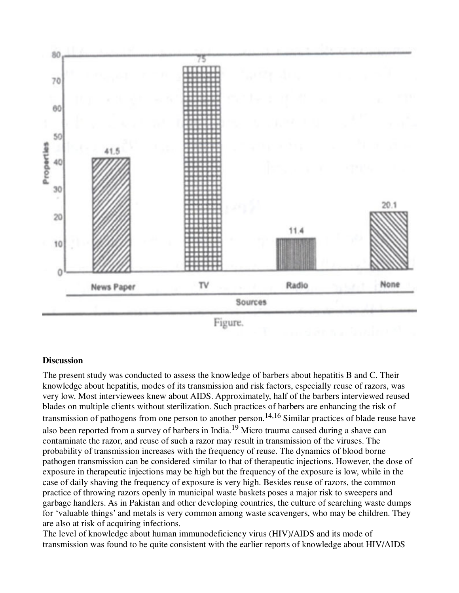

Figure.

#### **Discussion**

The present study was conducted to assess the knowledge of barbers about hepatitis B and C. Their knowledge about hepatitis, modes of its transmission and risk factors, especially reuse of razors, was very low. Most interviewees knew about AIDS. Approximately, half of the barbers interviewed reused blades on multiple clients without sterilization. Such practices of barbers are enhancing the risk of transmission of pathogens from one person to another person.14,16 Similar practices of blade reuse have also been reported from a survey of barbers in India.19 Micro trauma caused during a shave can contaminate the razor, and reuse of such a razor may result in transmission of the viruses. The probability of transmission increases with the frequency of reuse. The dynamics of blood borne pathogen transmission can be considered similar to that of therapeutic injections. However, the dose of exposure in therapeutic injections may be high but the frequency of the exposure is low, while in the case of daily shaving the frequency of exposure is very high. Besides reuse of razors, the common practice of throwing razors openly in municipal waste baskets poses a major risk to sweepers and garbage handlers. As in Pakistan and other developing countries, the culture of searching waste dumps for 'valuable things' and metals is very common among waste scavengers, who may be children. They are also at risk of acquiring infections.

The level of knowledge about human immunodeficiency virus (HIV)/AIDS and its mode of transmission was found to be quite consistent with the earlier reports of knowledge about HIV/AIDS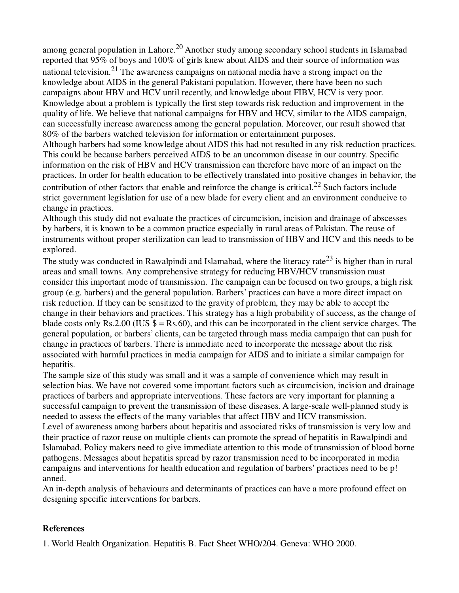among general population in Lahore.<sup>20</sup> Another study among secondary school students in Islamabad reported that 95% of boys and 100% of girls knew about AIDS and their source of information was national television.<sup>21</sup> The awareness campaigns on national media have a strong impact on the knowledge about AIDS in the general Pakistani population. However, there have been no such campaigns about HBV and HCV until recently, and knowledge about FIBV, HCV is very poor. Knowledge about a problem is typically the first step towards risk reduction and improvement in the quality of life. We believe that national campaigns for HBV and HCV, similar to the AIDS campaign, can successfully increase awareness among the general population. Moreover, our result showed that 80% of the barbers watched television for information or entertainment purposes.

Although barbers had some knowledge about AIDS this had not resulted in any risk reduction practices. This could be because barbers perceived AIDS to be an uncommon disease in our country. Specific information on the risk of HBV and HCV transmission can therefore have more of an impact on the practices. In order for health education to be effectively translated into positive changes in behavior, the contribution of other factors that enable and reinforce the change is critical.<sup>22</sup> Such factors include strict government legislation for use of a new blade for every client and an environment conducive to change in practices.

Although this study did not evaluate the practices of circumcision, incision and drainage of abscesses by barbers, it is known to be a common practice especially in rural areas of Pakistan. The reuse of instruments without proper sterilization can lead to transmission of HBV and HCV and this needs to be explored.

The study was conducted in Rawalpindi and Islamabad, where the literacy rate<sup>23</sup> is higher than in rural areas and small towns. Any comprehensive strategy for reducing HBV/HCV transmission must consider this important mode of transmission. The campaign can be focused on two groups, a high risk group (e.g. barbers) and the general population. Barbers' practices can have a more direct impact on risk reduction. If they can be sensitized to the gravity of problem, they may be able to accept the change in their behaviors and practices. This strategy has a high probability of success, as the change of blade costs only Rs.2.00 (IUS  $\$ =$  Rs.60), and this can be incorporated in the client service charges. The general population, or barbers' clients, can be targeted through mass media campaign that can push for change in practices of barbers. There is immediate need to incorporate the message about the risk associated with harmful practices in media campaign for AIDS and to initiate a similar campaign for hepatitis.

The sample size of this study was small and it was a sample of convenience which may result in selection bias. We have not covered some important factors such as circumcision, incision and drainage practices of barbers and appropriate interventions. These factors are very important for planning a successful campaign to prevent the transmission of these diseases. A large-scale well-planned study is needed to assess the effects of the many variables that affect HBV and HCV transmission. Level of awareness among barbers about hepatitis and associated risks of transmission is very low and their practice of razor reuse on multiple clients can promote the spread of hepatitis in Rawalpindi and Islamabad. Policy makers need to give immediate attention to this mode of transmission of blood borne pathogens. Messages about hepatitis spread by razor transmission need to be incorporated in media campaigns and interventions for health education and regulation of barbers' practices need to be p! anned.

An in-depth analysis of behaviours and determinants of practices can have a more profound effect on designing specific interventions for barbers.

# **References**

1. World Health Organization. Hepatitis B. Fact Sheet WHO/204. Geneva: WHO 2000.